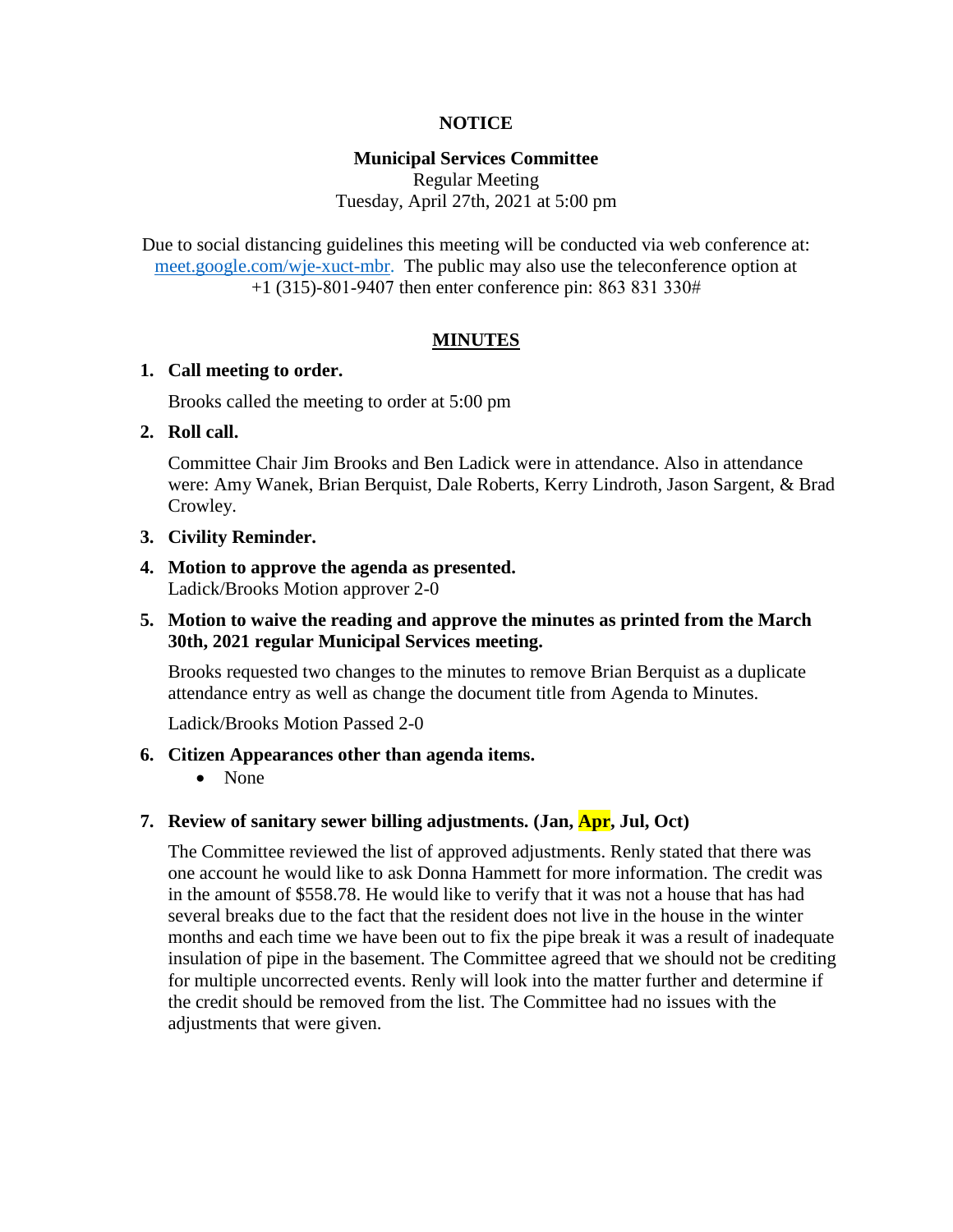# **NOTICE**

## **Municipal Services Committee**

Regular Meeting Tuesday, April 27th, 2021 at 5:00 pm

Due to social distancing guidelines this meeting will be conducted via web conference at: [meet.google.com/wje-xuct-mbr.](meet.google.com/wje-xuct-mbr) The public may also use the teleconference option at +1 (315)-801-9407 then enter conference pin: 863 831 330#

## **MINUTES**

### **1. Call meeting to order.**

Brooks called the meeting to order at 5:00 pm

### **2. Roll call.**

Committee Chair Jim Brooks and Ben Ladick were in attendance. Also in attendance were: Amy Wanek, Brian Berquist, Dale Roberts, Kerry Lindroth, Jason Sargent, & Brad Crowley.

### **3. Civility Reminder.**

**4. Motion to approve the agenda as presented.** Ladick/Brooks Motion approver 2-0

# **5. Motion to waive the reading and approve the minutes as printed from the March 30th, 2021 regular Municipal Services meeting.**

Brooks requested two changes to the minutes to remove Brian Berquist as a duplicate attendance entry as well as change the document title from Agenda to Minutes.

Ladick/Brooks Motion Passed 2-0

### **6. Citizen Appearances other than agenda items.**

• None

# **7. Review of sanitary sewer billing adjustments. (Jan, Apr, Jul, Oct)**

The Committee reviewed the list of approved adjustments. Renly stated that there was one account he would like to ask Donna Hammett for more information. The credit was in the amount of \$558.78. He would like to verify that it was not a house that has had several breaks due to the fact that the resident does not live in the house in the winter months and each time we have been out to fix the pipe break it was a result of inadequate insulation of pipe in the basement. The Committee agreed that we should not be crediting for multiple uncorrected events. Renly will look into the matter further and determine if the credit should be removed from the list. The Committee had no issues with the adjustments that were given.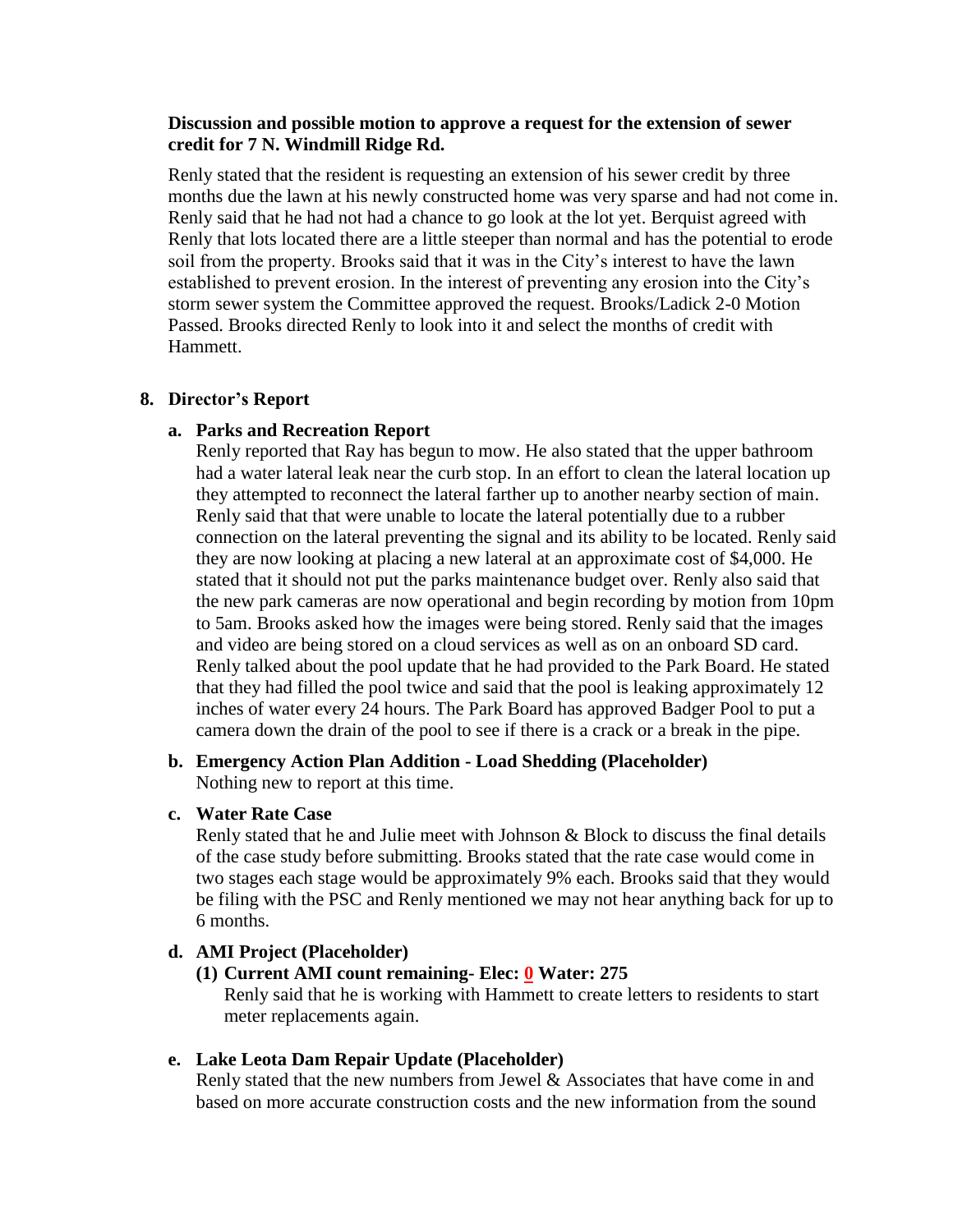# **Discussion and possible motion to approve a request for the extension of sewer credit for 7 N. Windmill Ridge Rd.**

Renly stated that the resident is requesting an extension of his sewer credit by three months due the lawn at his newly constructed home was very sparse and had not come in. Renly said that he had not had a chance to go look at the lot yet. Berquist agreed with Renly that lots located there are a little steeper than normal and has the potential to erode soil from the property. Brooks said that it was in the City's interest to have the lawn established to prevent erosion. In the interest of preventing any erosion into the City's storm sewer system the Committee approved the request. Brooks/Ladick 2-0 Motion Passed. Brooks directed Renly to look into it and select the months of credit with Hammett.

## **8. Director's Report**

## **a. Parks and Recreation Report**

Renly reported that Ray has begun to mow. He also stated that the upper bathroom had a water lateral leak near the curb stop. In an effort to clean the lateral location up they attempted to reconnect the lateral farther up to another nearby section of main. Renly said that that were unable to locate the lateral potentially due to a rubber connection on the lateral preventing the signal and its ability to be located. Renly said they are now looking at placing a new lateral at an approximate cost of \$4,000. He stated that it should not put the parks maintenance budget over. Renly also said that the new park cameras are now operational and begin recording by motion from 10pm to 5am. Brooks asked how the images were being stored. Renly said that the images and video are being stored on a cloud services as well as on an onboard SD card. Renly talked about the pool update that he had provided to the Park Board. He stated that they had filled the pool twice and said that the pool is leaking approximately 12 inches of water every 24 hours. The Park Board has approved Badger Pool to put a camera down the drain of the pool to see if there is a crack or a break in the pipe.

# **b. Emergency Action Plan Addition - Load Shedding (Placeholder)** Nothing new to report at this time.

# **c. Water Rate Case**

Renly stated that he and Julie meet with Johnson & Block to discuss the final details of the case study before submitting. Brooks stated that the rate case would come in two stages each stage would be approximately 9% each. Brooks said that they would be filing with the PSC and Renly mentioned we may not hear anything back for up to 6 months.

# **d. AMI Project (Placeholder)**

# **(1) Current AMI count remaining- Elec: 0 Water: 275**

Renly said that he is working with Hammett to create letters to residents to start meter replacements again.

### **e. Lake Leota Dam Repair Update (Placeholder)**

Renly stated that the new numbers from Jewel  $\&$  Associates that have come in and based on more accurate construction costs and the new information from the sound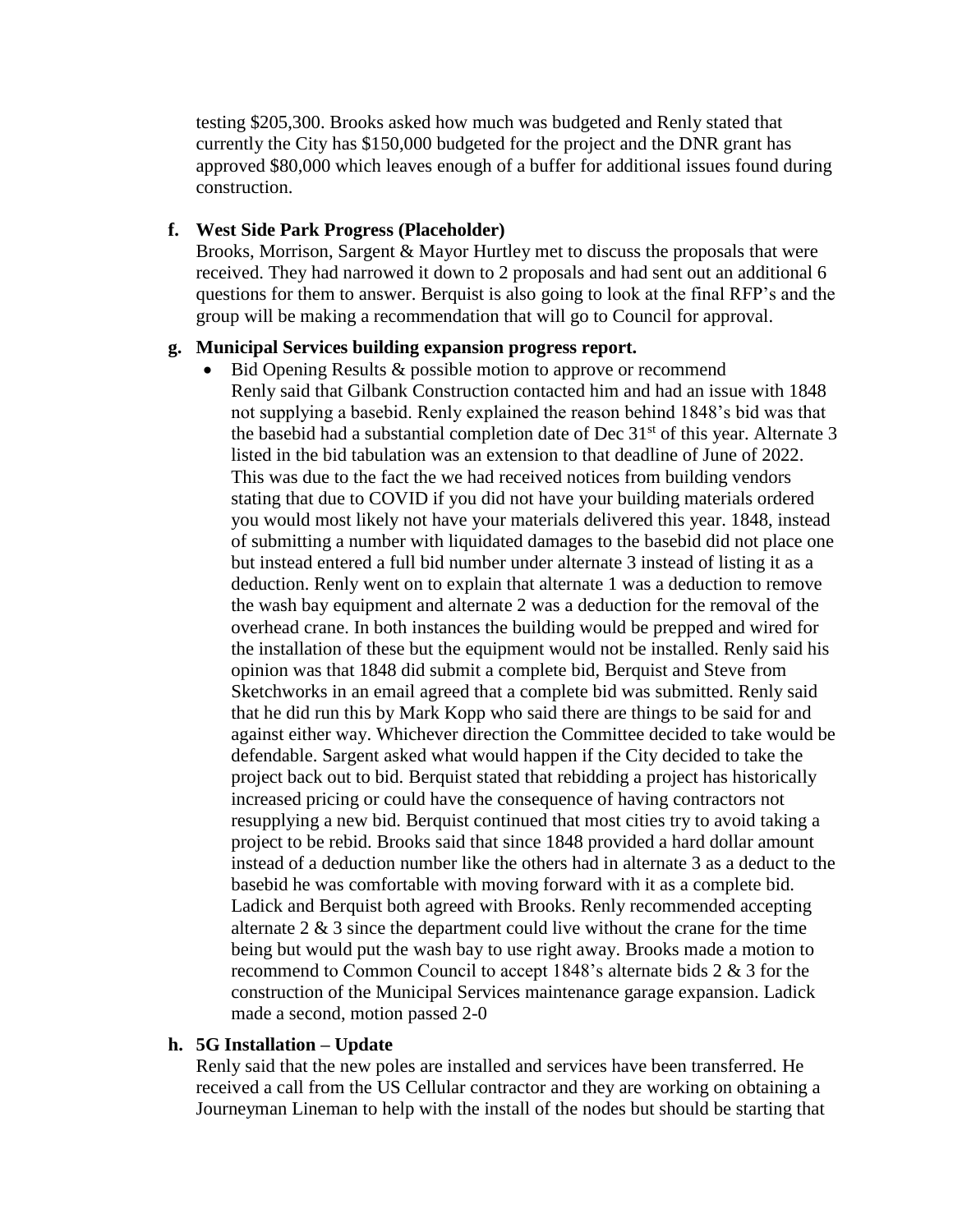testing \$205,300. Brooks asked how much was budgeted and Renly stated that currently the City has \$150,000 budgeted for the project and the DNR grant has approved \$80,000 which leaves enough of a buffer for additional issues found during construction.

## **f. West Side Park Progress (Placeholder)**

Brooks, Morrison, Sargent & Mayor Hurtley met to discuss the proposals that were received. They had narrowed it down to 2 proposals and had sent out an additional 6 questions for them to answer. Berquist is also going to look at the final RFP's and the group will be making a recommendation that will go to Council for approval.

### **g. Municipal Services building expansion progress report.**

 $\bullet$  Bid Opening Results & possible motion to approve or recommend Renly said that Gilbank Construction contacted him and had an issue with 1848 not supplying a basebid. Renly explained the reason behind 1848's bid was that the basebid had a substantial completion date of Dec  $31<sup>st</sup>$  of this year. Alternate 3 listed in the bid tabulation was an extension to that deadline of June of 2022. This was due to the fact the we had received notices from building vendors stating that due to COVID if you did not have your building materials ordered you would most likely not have your materials delivered this year. 1848, instead of submitting a number with liquidated damages to the basebid did not place one but instead entered a full bid number under alternate 3 instead of listing it as a deduction. Renly went on to explain that alternate 1 was a deduction to remove the wash bay equipment and alternate 2 was a deduction for the removal of the overhead crane. In both instances the building would be prepped and wired for the installation of these but the equipment would not be installed. Renly said his opinion was that 1848 did submit a complete bid, Berquist and Steve from Sketchworks in an email agreed that a complete bid was submitted. Renly said that he did run this by Mark Kopp who said there are things to be said for and against either way. Whichever direction the Committee decided to take would be defendable. Sargent asked what would happen if the City decided to take the project back out to bid. Berquist stated that rebidding a project has historically increased pricing or could have the consequence of having contractors not resupplying a new bid. Berquist continued that most cities try to avoid taking a project to be rebid. Brooks said that since 1848 provided a hard dollar amount instead of a deduction number like the others had in alternate 3 as a deduct to the basebid he was comfortable with moving forward with it as a complete bid. Ladick and Berquist both agreed with Brooks. Renly recommended accepting alternate  $2 \& 3$  since the department could live without the crane for the time being but would put the wash bay to use right away. Brooks made a motion to recommend to Common Council to accept 1848's alternate bids 2 & 3 for the construction of the Municipal Services maintenance garage expansion. Ladick made a second, motion passed 2-0

# **h. 5G Installation – Update**

Renly said that the new poles are installed and services have been transferred. He received a call from the US Cellular contractor and they are working on obtaining a Journeyman Lineman to help with the install of the nodes but should be starting that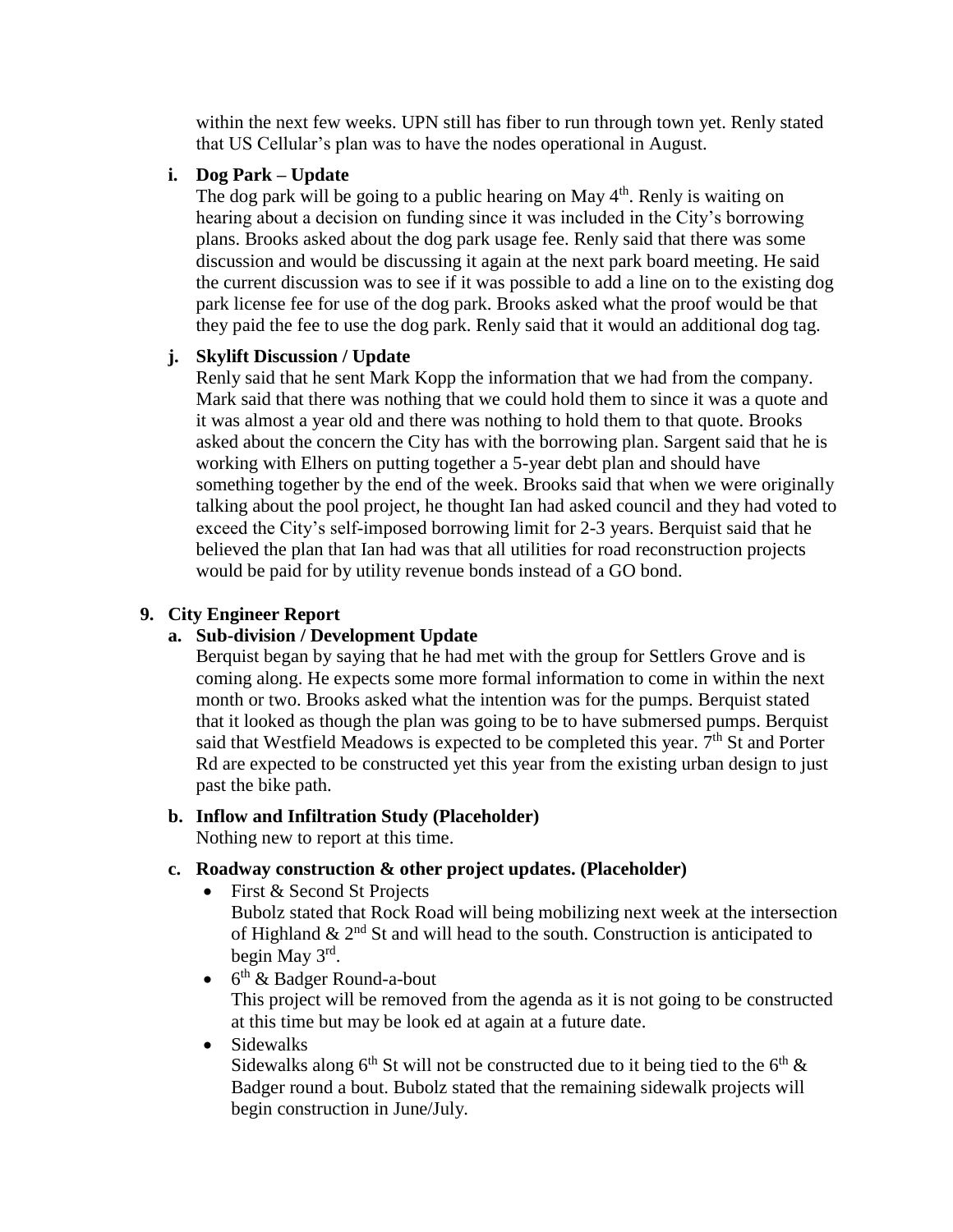within the next few weeks. UPN still has fiber to run through town yet. Renly stated that US Cellular's plan was to have the nodes operational in August.

# **i. Dog Park – Update**

The dog park will be going to a public hearing on May  $4<sup>th</sup>$ . Renly is waiting on hearing about a decision on funding since it was included in the City's borrowing plans. Brooks asked about the dog park usage fee. Renly said that there was some discussion and would be discussing it again at the next park board meeting. He said the current discussion was to see if it was possible to add a line on to the existing dog park license fee for use of the dog park. Brooks asked what the proof would be that they paid the fee to use the dog park. Renly said that it would an additional dog tag.

# **j. Skylift Discussion / Update**

Renly said that he sent Mark Kopp the information that we had from the company. Mark said that there was nothing that we could hold them to since it was a quote and it was almost a year old and there was nothing to hold them to that quote. Brooks asked about the concern the City has with the borrowing plan. Sargent said that he is working with Elhers on putting together a 5-year debt plan and should have something together by the end of the week. Brooks said that when we were originally talking about the pool project, he thought Ian had asked council and they had voted to exceed the City's self-imposed borrowing limit for 2-3 years. Berquist said that he believed the plan that Ian had was that all utilities for road reconstruction projects would be paid for by utility revenue bonds instead of a GO bond.

# **9. City Engineer Report**

# **a. Sub-division / Development Update**

Berquist began by saying that he had met with the group for Settlers Grove and is coming along. He expects some more formal information to come in within the next month or two. Brooks asked what the intention was for the pumps. Berquist stated that it looked as though the plan was going to be to have submersed pumps. Berquist said that Westfield Meadows is expected to be completed this year.  $7<sup>th</sup>$  St and Porter Rd are expected to be constructed yet this year from the existing urban design to just past the bike path.

# **b. Inflow and Infiltration Study (Placeholder)**

Nothing new to report at this time.

# **c. Roadway construction & other project updates. (Placeholder)**

• First & Second St Projects

Bubolz stated that Rock Road will being mobilizing next week at the intersection of Highland  $\&$  2<sup>nd</sup> St and will head to the south. Construction is anticipated to begin May 3rd .

• 6<sup>th</sup> & Badger Round-a-bout

This project will be removed from the agenda as it is not going to be constructed at this time but may be look ed at again at a future date.

• Sidewalks

Sidewalks along  $6<sup>th</sup>$  St will not be constructed due to it being tied to the  $6<sup>th</sup>$  & Badger round a bout. Bubolz stated that the remaining sidewalk projects will begin construction in June/July.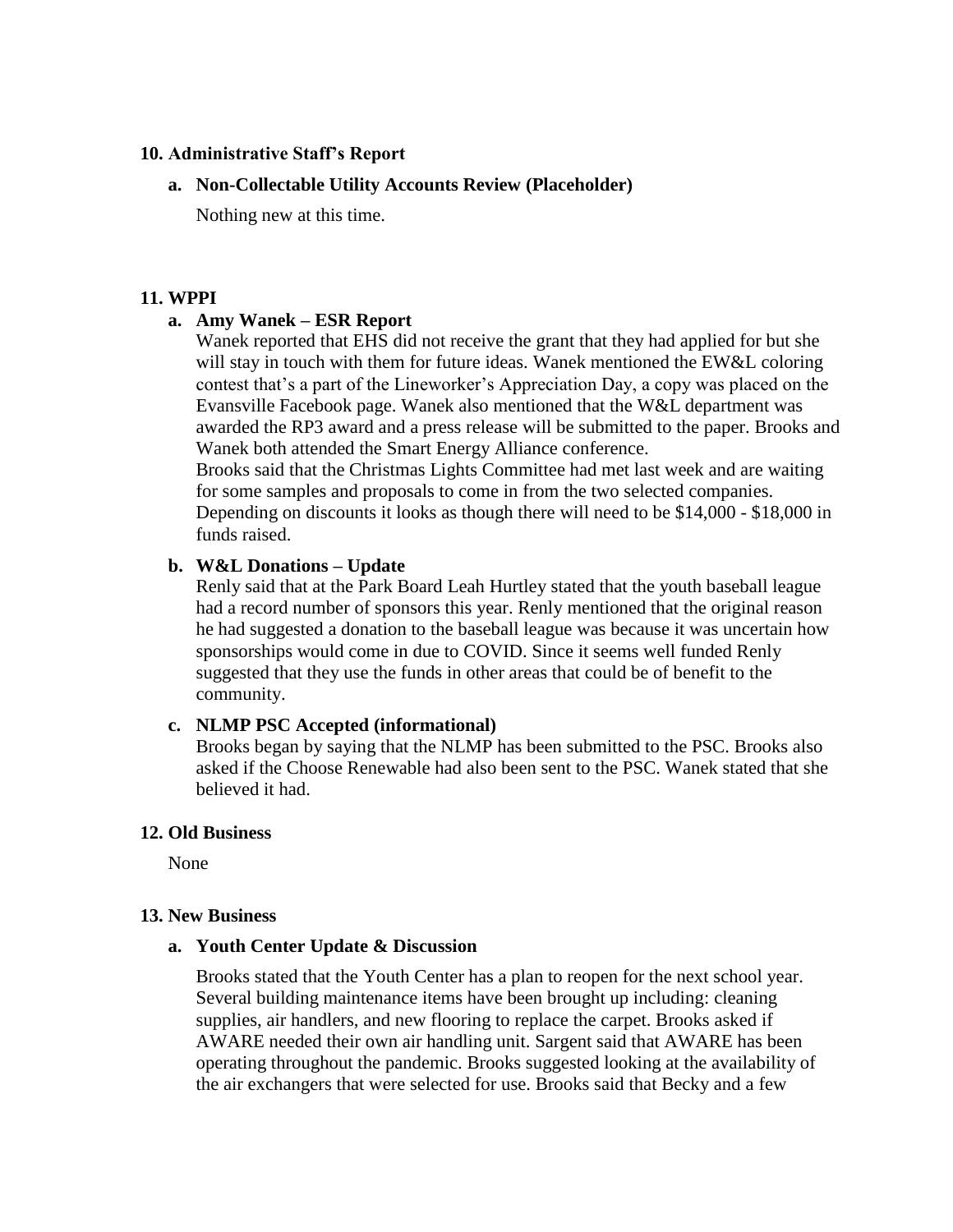## **10. Administrative Staff's Report**

## **a. Non-Collectable Utility Accounts Review (Placeholder)**

Nothing new at this time.

### **11. WPPI**

## **a. Amy Wanek – ESR Report**

Wanek reported that EHS did not receive the grant that they had applied for but she will stay in touch with them for future ideas. Wanek mentioned the EW&L coloring contest that's a part of the Lineworker's Appreciation Day, a copy was placed on the Evansville Facebook page. Wanek also mentioned that the W&L department was awarded the RP3 award and a press release will be submitted to the paper. Brooks and Wanek both attended the Smart Energy Alliance conference.

Brooks said that the Christmas Lights Committee had met last week and are waiting for some samples and proposals to come in from the two selected companies. Depending on discounts it looks as though there will need to be \$14,000 - \$18,000 in funds raised.

### **b. W&L Donations – Update**

Renly said that at the Park Board Leah Hurtley stated that the youth baseball league had a record number of sponsors this year. Renly mentioned that the original reason he had suggested a donation to the baseball league was because it was uncertain how sponsorships would come in due to COVID. Since it seems well funded Renly suggested that they use the funds in other areas that could be of benefit to the community.

### **c. NLMP PSC Accepted (informational)**

Brooks began by saying that the NLMP has been submitted to the PSC. Brooks also asked if the Choose Renewable had also been sent to the PSC. Wanek stated that she believed it had.

### **12. Old Business**

None

### **13. New Business**

### **a. Youth Center Update & Discussion**

Brooks stated that the Youth Center has a plan to reopen for the next school year. Several building maintenance items have been brought up including: cleaning supplies, air handlers, and new flooring to replace the carpet. Brooks asked if AWARE needed their own air handling unit. Sargent said that AWARE has been operating throughout the pandemic. Brooks suggested looking at the availability of the air exchangers that were selected for use. Brooks said that Becky and a few